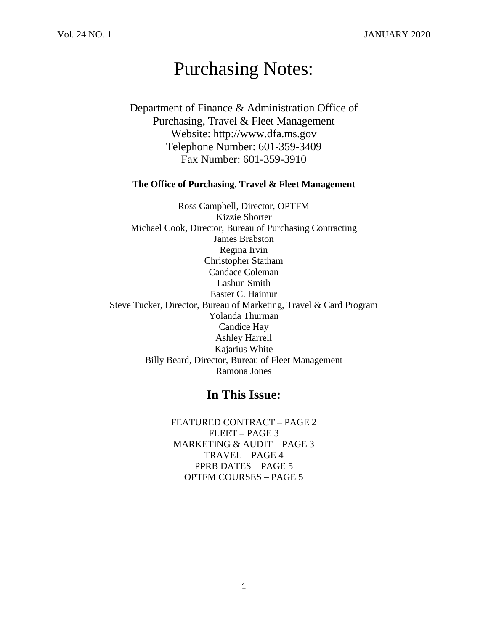# Purchasing Notes:

Department of Finance & Administration Office of Purchasing, Travel & Fleet Management Website: http://www.dfa.ms.gov Telephone Number: 601-359-3409 Fax Number: 601-359-3910

### **The Office of Purchasing, Travel & Fleet Management**

Ross Campbell, Director, OPTFM Kizzie Shorter Michael Cook, Director, Bureau of Purchasing Contracting James Brabston Regina Irvin Christopher Statham Candace Coleman Lashun Smith Easter C. Haimur Steve Tucker, Director, Bureau of Marketing, Travel & Card Program Yolanda Thurman Candice Hay Ashley Harrell Kajarius White Billy Beard, Director, Bureau of Fleet Management Ramona Jones

## **In This Issue:**

FEATURED CONTRACT – PAGE 2 FLEET – PAGE 3 MARKETING & AUDIT – PAGE 3 TRAVEL – PAGE 4 PPRB DATES – PAGE 5 OPTFM COURSES – PAGE 5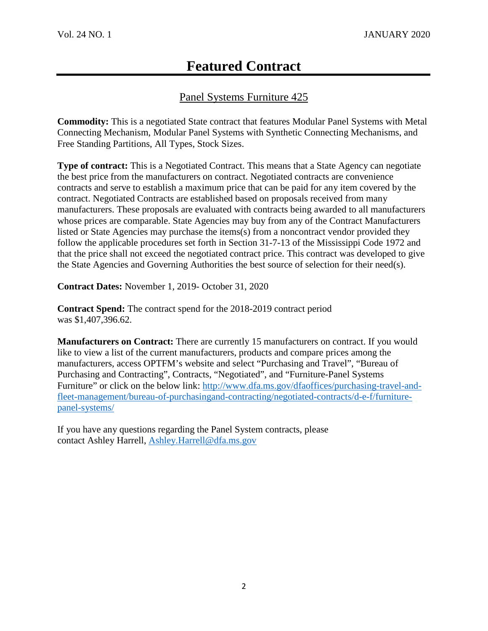## Panel Systems Furniture 425

**Commodity:** This is a negotiated State contract that features Modular Panel Systems with Metal Connecting Mechanism, Modular Panel Systems with Synthetic Connecting Mechanisms, and Free Standing Partitions, All Types, Stock Sizes.

**Type of contract:** This is a Negotiated Contract. This means that a State Agency can negotiate the best price from the manufacturers on contract. Negotiated contracts are convenience contracts and serve to establish a maximum price that can be paid for any item covered by the contract. Negotiated Contracts are established based on proposals received from many manufacturers. These proposals are evaluated with contracts being awarded to all manufacturers whose prices are comparable. State Agencies may buy from any of the Contract Manufacturers listed or State Agencies may purchase the items(s) from a noncontract vendor provided they follow the applicable procedures set forth in Section 31-7-13 of the Mississippi Code 1972 and that the price shall not exceed the negotiated contract price. This contract was developed to give the State Agencies and Governing Authorities the best source of selection for their need(s).

**Contract Dates:** November 1, 2019- October 31, 2020

**Contract Spend:** The contract spend for the 2018-2019 contract period was \$1,407,396.62.

**Manufacturers on Contract:** There are currently 15 manufacturers on contract. If you would like to view a list of the current manufacturers, products and compare prices among the manufacturers, access OPTFM's website and select "Purchasing and Travel", "Bureau of Purchasing and Contracting", Contracts, "Negotiated", and "Furniture-Panel Systems Furniture" or click on the below link: [http://www.dfa.ms.gov/dfaoffices/purchasing-travel-and](http://www.dfa.ms.gov/dfaoffices/purchasing-travel-and-fleet-management/bureau-of-purchasingand-contracting/negotiated-contracts/d-e-f/furniture-panel-systems/)[fleet-management/bureau-of-purchasingand-contracting/negotiated-contracts/d-e-f/furniture](http://www.dfa.ms.gov/dfaoffices/purchasing-travel-and-fleet-management/bureau-of-purchasingand-contracting/negotiated-contracts/d-e-f/furniture-panel-systems/)[panel-systems/](http://www.dfa.ms.gov/dfaoffices/purchasing-travel-and-fleet-management/bureau-of-purchasingand-contracting/negotiated-contracts/d-e-f/furniture-panel-systems/)

If you have any questions regarding the Panel System contracts, please contact Ashley Harrell, [Ashley.Harrell@dfa.ms.gov](mailto:Ashley.Harrell@dfa.ms.gov)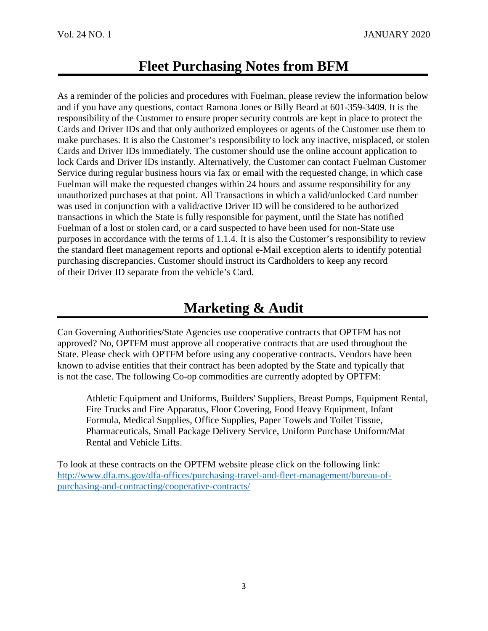# **Fleet Purchasing Notes from BFM**

As a reminder of the policies and procedures with Fuelman, please review the information below and if you have any questions, contact Ramona Jones or Billy Beard at 601-359-3409. It is the responsibility of the Customer to ensure proper security controls are kept in place to protect the Cards and Driver IDs and that only authorized employees or agents of the Customer use them to make purchases. It is also the Customer's responsibility to lock any inactive, misplaced, or stolen Cards and Driver IDs immediately. The customer should use the online account application to lock Cards and Driver IDs instantly. Alternatively, the Customer can contact Fuelman Customer Service during regular business hours via fax or email with the requested change, in which case Fuelman will make the requested changes within 24 hours and assume responsibility for any unauthorized purchases at that point. All Transactions in which a valid/unlocked Card number was used in conjunction with a valid/active Driver ID will be considered to be authorized transactions in which the State is fully responsible for payment, until the State has notified Fuelman of a lost or stolen card, or a card suspected to have been used for non-State use purposes in accordance with the terms of 1.1.4. It is also the Customer's responsibility to review the standard fleet management reports and optional e-Mail exception alerts to identify potential purchasing discrepancies. Customer should instruct its Cardholders to keep any record of their Driver ID separate from the vehicle's Card.

## **Marketing & Audit**

Can Governing Authorities/State Agencies use cooperative contracts that OPTFM has not approved? No, OPTFM must approve all cooperative contracts that are used throughout the State. Please check with OPTFM before using any cooperative contracts. Vendors have been known to advise entities that their contract has been adopted by the State and typically that is not the case. The following Co-op commodities are currently adopted by OPTFM:

Athletic Equipment and Uniforms, Builders' Suppliers, Breast Pumps, Equipment Rental, Fire Trucks and Fire Apparatus, Floor Covering, Food Heavy Equipment, Infant Formula, Medical Supplies, Office Supplies, Paper Towels and Toilet Tissue, Pharmaceuticals, Small Package Delivery Service, Uniform Purchase Uniform/Mat Rental and Vehicle Lifts.

To look at these contracts on the OPTFM website please click on the following link: [http://www.dfa.ms.gov/dfa-offices/purchasing-travel-and-fleet-management/bureau-of](http://www.dfa.ms.gov/dfa-offices/purchasing-travel-and-fleet-management/bureau-of-purchasing-and-contracting/cooperative-contracts/)[purchasing-and-contracting/cooperative-contracts/](http://www.dfa.ms.gov/dfa-offices/purchasing-travel-and-fleet-management/bureau-of-purchasing-and-contracting/cooperative-contracts/)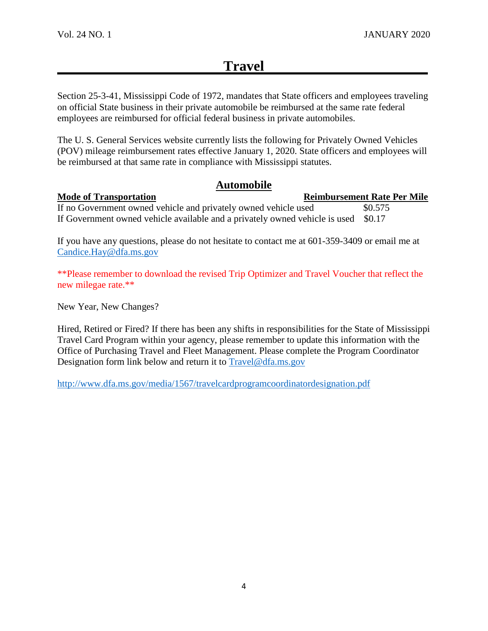## **Travel**

Section 25-3-41, Mississippi Code of 1972, mandates that State officers and employees traveling on official State business in their private automobile be reimbursed at the same rate federal employees are reimbursed for official federal business in private automobiles.

The U. S. General Services website currently lists the following for Privately Owned Vehicles (POV) mileage reimbursement rates effective January 1, 2020. State officers and employees will be reimbursed at that same rate in compliance with Mississippi statutes.

## **Automobile**

**Mode of Transportation Reimbursement Rate Per Mile** 

If no Government owned vehicle and privately owned vehicle used \$0.575 If Government owned vehicle available and a privately owned vehicle is used \$0.17

If you have any questions, please do not hesitate to contact me at 601-359-3409 or email me at [Candice.Hay@dfa.ms.gov](mailto:Candice.Hay@dfa.ms.gov)

\*\*Please remember to download the revised Trip Optimizer and Travel Voucher that reflect the new milegae rate.\*\*

New Year, New Changes?

Hired, Retired or Fired? If there has been any shifts in responsibilities for the State of Mississippi Travel Card Program within your agency, please remember to update this information with the Office of Purchasing Travel and Fleet Management. Please complete the Program Coordinator Designation form link below and return it to [Travel@dfa.ms.gov](mailto:Travel@dfa.ms.gov)

<http://www.dfa.ms.gov/media/1567/travelcardprogramcoordinatordesignation.pdf>